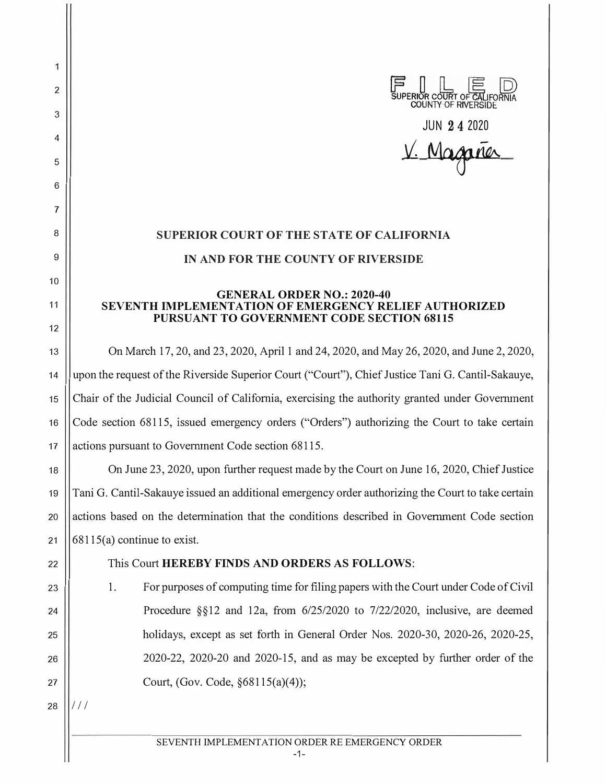COUNTY OF RIVERSIDE

**JUN 2 4 2020** 

<u> Magan</u>

## **SUPERIOR COURT OF THE STATE OF CALIFORNIA IN AND FOR THE COUNTY OF RIVERSIDE**

## **GENERAL ORDER NO.: 2020-40 SEVENTH IMPLEMENTATION OF EMERGENCY RELIEF AUTHORIZED PURSUANT TO GOVERNMENT CODE SECTION 68115**

13 On March 17, 20, and 23, 2020, April 1 and 24, 2020, and May 26, 2020, and June 2, 2020, 14 | upon the request of the Riverside Superior Court ("Court"), Chief Justice Tani G. Cantil-Sakauye, <sup>15</sup>Chair of the Judicial Council of California, exercising the authority granted under Govennnent 16 Code section 68115, issued emergency orders ("Orders") authorizing the Court to take certain 17 | actions pursuant to Government Code section 68115.

18 On June 23, 2020, upon further request made by the Court on June 16, 2020, Chief Justice <sup>19</sup>Tani G. Cantil-Sakauye issued an additional emergency order authorizing the Court to take certain 20 actions based on the determination that the conditions described in Government Code section 21  $\vert$  68115(a) continue to exist.

2

 $\overline{1}$ 

3

4

5

6

7

8

9

10

11

12

- 22 This Court **HEREBY FINDS AND ORDERS AS FOLLOWS:**
- 23. 23. For purposes of computing time for filing papers with the Court under Code of Civil 24  $\vert$  Procedure §§12 and 12a, from 6/25/2020 to 7/22/2020, inclusive, are deemed <sup>25</sup>holidays, except as set forth in General Order Nos. 2020-30, 2020-26, 2020-25, <sup>26</sup>2020-22, 2020-20 and 2020-15, and as may be excepted by further order of the 27 | Court, (Gov. Code,  $§68115(a)(4)$ );

 $28$  | $111/$